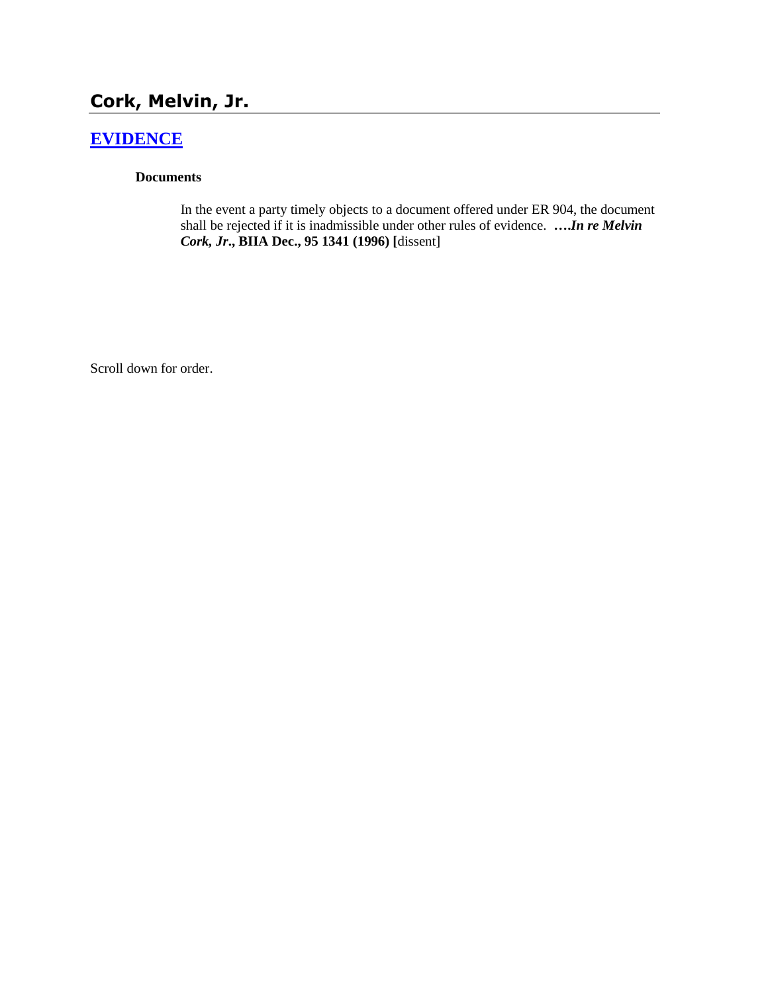# **Cork, Melvin, Jr.**

# **[EVIDENCE](http://www.biia.wa.gov/SDSubjectIndex.html#EVIDENCE)**

#### **Documents**

In the event a party timely objects to a document offered under ER 904, the document shall be rejected if it is inadmissible under other rules of evidence. **….***In re Melvin Cork, Jr***., BIIA Dec., 95 1341 (1996) [**dissent]

Scroll down for order.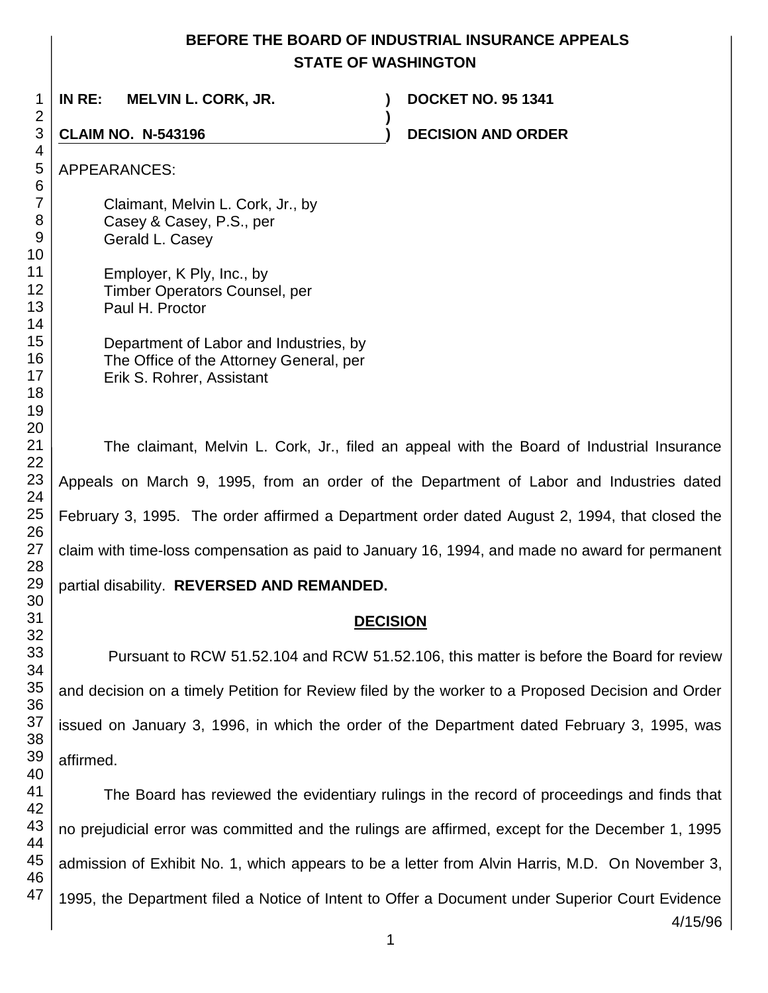## **BEFORE THE BOARD OF INDUSTRIAL INSURANCE APPEALS STATE OF WASHINGTON**

 **IN RE: MELVIN L. CORK, JR. ) DOCKET NO. 95 1341 ) CLAIM NO. N-543196 ) DECISION AND ORDER**  APPEARANCES: Claimant, Melvin L. Cork, Jr., by Casey & Casey, P.S., per Gerald L. Casey Employer, K Ply, Inc., by Timber Operators Counsel, per Paul H. Proctor Department of Labor and Industries, by The Office of the Attorney General, per Erik S. Rohrer, Assistant The claimant, Melvin L. Cork, Jr., filed an appeal with the Board of Industrial Insurance

Appeals on March 9, 1995, from an order of the Department of Labor and Industries dated February 3, 1995. The order affirmed a Department order dated August 2, 1994, that closed the claim with time-loss compensation as paid to January 16, 1994, and made no award for permanent

partial disability. **REVERSED AND REMANDED.**

#### **DECISION**

Pursuant to RCW 51.52.104 and RCW 51.52.106, this matter is before the Board for review and decision on a timely Petition for Review filed by the worker to a Proposed Decision and Order issued on January 3, 1996, in which the order of the Department dated February 3, 1995, was affirmed.

The Board has reviewed the evidentiary rulings in the record of proceedings and finds that no prejudicial error was committed and the rulings are affirmed, except for the December 1, 1995 admission of Exhibit No. 1, which appears to be a letter from Alvin Harris, M.D. On November 3, 1995, the Department filed a Notice of Intent to Offer a Document under Superior Court Evidence

4/15/96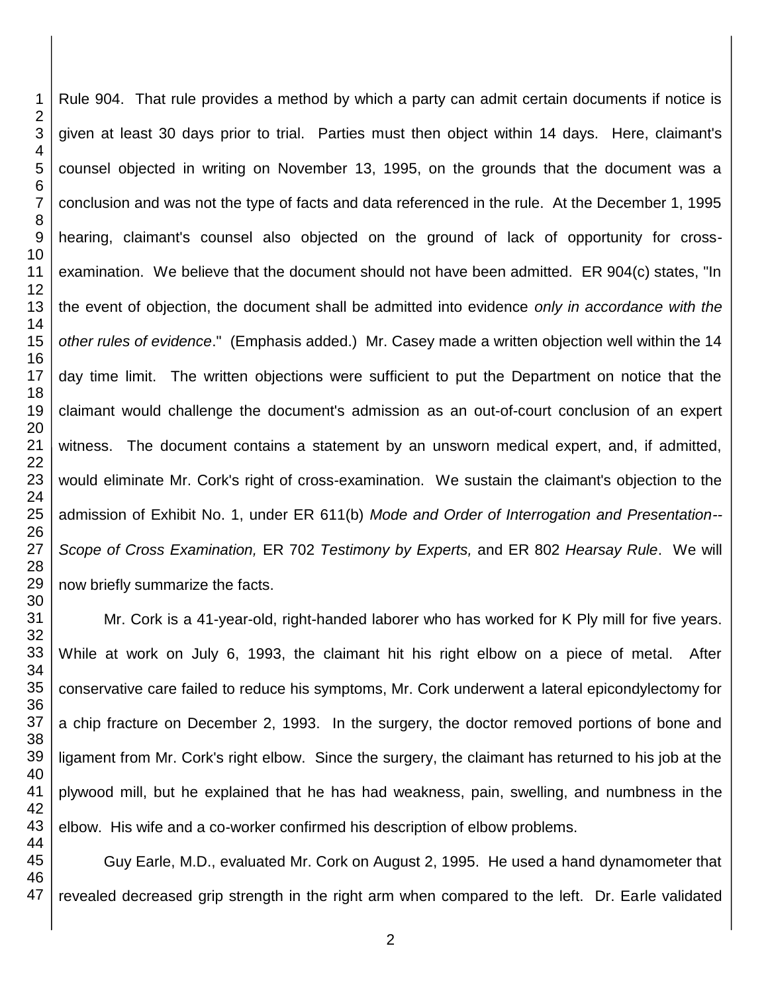Rule 904. That rule provides a method by which a party can admit certain documents if notice is given at least 30 days prior to trial. Parties must then object within 14 days. Here, claimant's counsel objected in writing on November 13, 1995, on the grounds that the document was a conclusion and was not the type of facts and data referenced in the rule. At the December 1, 1995 hearing, claimant's counsel also objected on the ground of lack of opportunity for crossexamination. We believe that the document should not have been admitted. ER 904(c) states, "In the event of objection, the document shall be admitted into evidence *only in accordance with the other rules of evidence*." (Emphasis added.) Mr. Casey made a written objection well within the 14 day time limit. The written objections were sufficient to put the Department on notice that the claimant would challenge the document's admission as an out-of-court conclusion of an expert witness. The document contains a statement by an unsworn medical expert, and, if admitted, would eliminate Mr. Cork's right of cross-examination. We sustain the claimant's objection to the admission of Exhibit No. 1, under ER 611(b) *Mode and Order of Interrogation and Presentation-- Scope of Cross Examination,* ER 702 *Testimony by Experts,* and ER 802 *Hearsay Rule*. We will now briefly summarize the facts.

Mr. Cork is a 41-year-old, right-handed laborer who has worked for K Ply mill for five years. While at work on July 6, 1993, the claimant hit his right elbow on a piece of metal. After conservative care failed to reduce his symptoms, Mr. Cork underwent a lateral epicondylectomy for a chip fracture on December 2, 1993. In the surgery, the doctor removed portions of bone and ligament from Mr. Cork's right elbow. Since the surgery, the claimant has returned to his job at the plywood mill, but he explained that he has had weakness, pain, swelling, and numbness in the elbow. His wife and a co-worker confirmed his description of elbow problems.

Guy Earle, M.D., evaluated Mr. Cork on August 2, 1995. He used a hand dynamometer that revealed decreased grip strength in the right arm when compared to the left. Dr. Earle validated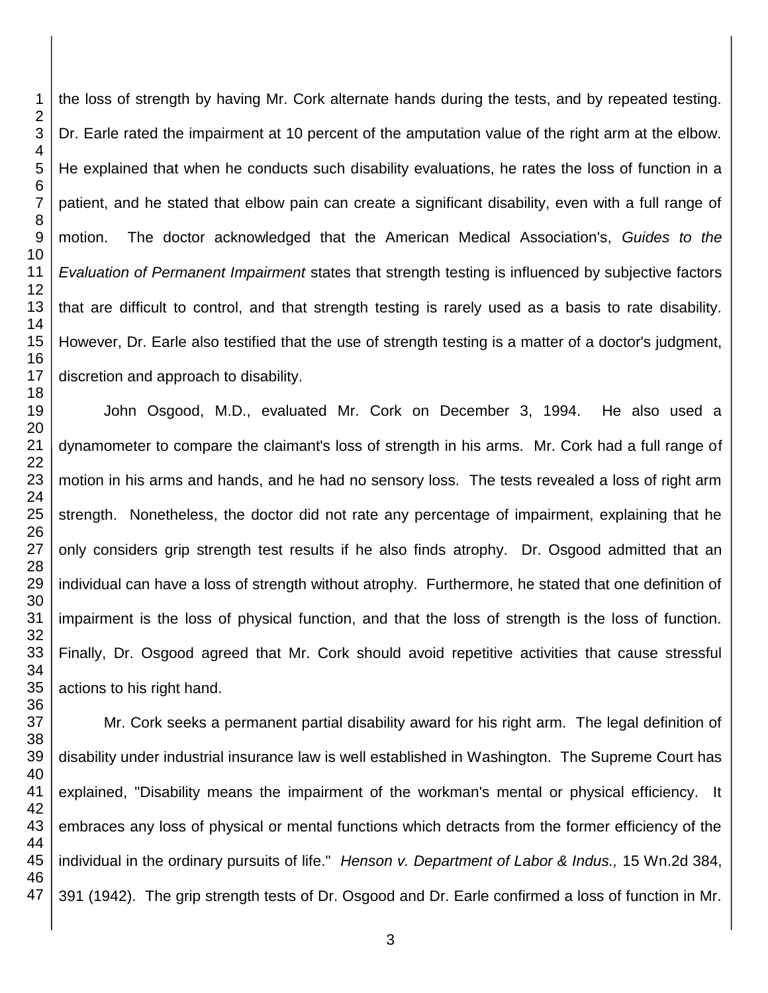the loss of strength by having Mr. Cork alternate hands during the tests, and by repeated testing. Dr. Earle rated the impairment at 10 percent of the amputation value of the right arm at the elbow. He explained that when he conducts such disability evaluations, he rates the loss of function in a patient, and he stated that elbow pain can create a significant disability, even with a full range of motion. The doctor acknowledged that the American Medical Association's, *Guides to the Evaluation of Permanent Impairment* states that strength testing is influenced by subjective factors that are difficult to control, and that strength testing is rarely used as a basis to rate disability. However, Dr. Earle also testified that the use of strength testing is a matter of a doctor's judgment, discretion and approach to disability.

John Osgood, M.D., evaluated Mr. Cork on December 3, 1994. He also used a dynamometer to compare the claimant's loss of strength in his arms. Mr. Cork had a full range of motion in his arms and hands, and he had no sensory loss. The tests revealed a loss of right arm strength. Nonetheless, the doctor did not rate any percentage of impairment, explaining that he only considers grip strength test results if he also finds atrophy. Dr. Osgood admitted that an individual can have a loss of strength without atrophy. Furthermore, he stated that one definition of impairment is the loss of physical function, and that the loss of strength is the loss of function. Finally, Dr. Osgood agreed that Mr. Cork should avoid repetitive activities that cause stressful actions to his right hand.

Mr. Cork seeks a permanent partial disability award for his right arm. The legal definition of disability under industrial insurance law is well established in Washington. The Supreme Court has explained, "Disability means the impairment of the workman's mental or physical efficiency. It embraces any loss of physical or mental functions which detracts from the former efficiency of the individual in the ordinary pursuits of life." *Henson v. Department of Labor & Indus.,* 15 Wn.2d 384, 391 (1942). The grip strength tests of Dr. Osgood and Dr. Earle confirmed a loss of function in Mr.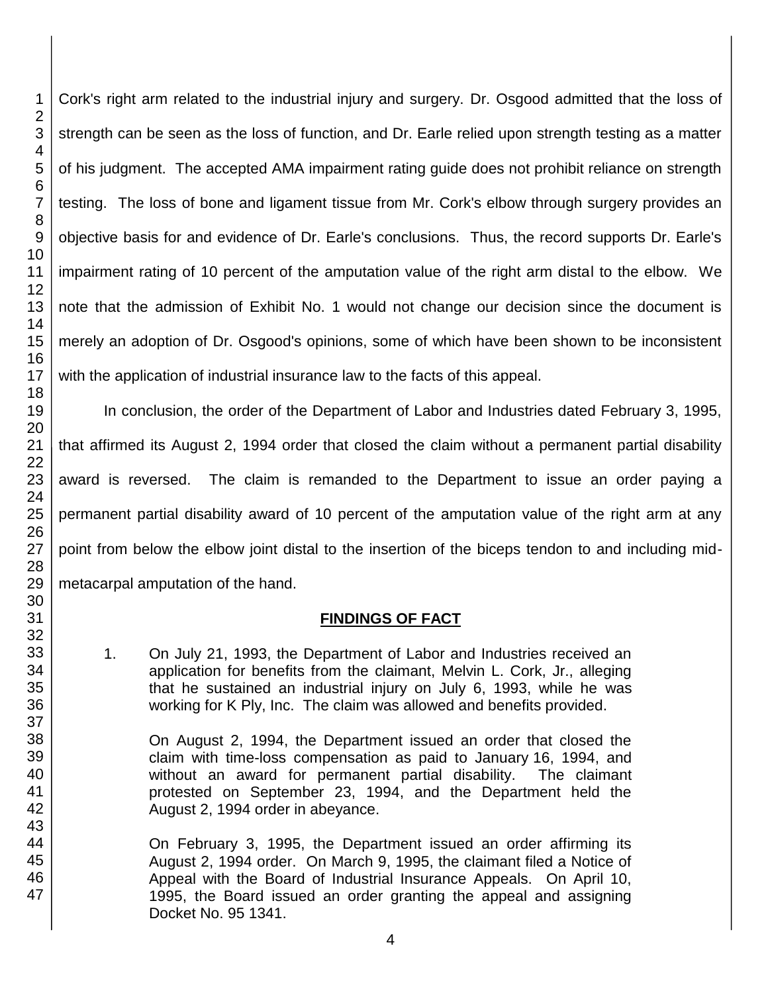Cork's right arm related to the industrial injury and surgery. Dr. Osgood admitted that the loss of strength can be seen as the loss of function, and Dr. Earle relied upon strength testing as a matter of his judgment. The accepted AMA impairment rating guide does not prohibit reliance on strength testing. The loss of bone and ligament tissue from Mr. Cork's elbow through surgery provides an objective basis for and evidence of Dr. Earle's conclusions. Thus, the record supports Dr. Earle's impairment rating of 10 percent of the amputation value of the right arm distal to the elbow. We note that the admission of Exhibit No. 1 would not change our decision since the document is merely an adoption of Dr. Osgood's opinions, some of which have been shown to be inconsistent with the application of industrial insurance law to the facts of this appeal.

In conclusion, the order of the Department of Labor and Industries dated February 3, 1995, that affirmed its August 2, 1994 order that closed the claim without a permanent partial disability award is reversed. The claim is remanded to the Department to issue an order paying a permanent partial disability award of 10 percent of the amputation value of the right arm at any point from below the elbow joint distal to the insertion of the biceps tendon to and including midmetacarpal amputation of the hand.

#### **FINDINGS OF FACT**

1. On July 21, 1993, the Department of Labor and Industries received an application for benefits from the claimant, Melvin L. Cork, Jr., alleging that he sustained an industrial injury on July 6, 1993, while he was working for K Ply, Inc. The claim was allowed and benefits provided.

On August 2, 1994, the Department issued an order that closed the claim with time-loss compensation as paid to January 16, 1994, and without an award for permanent partial disability. The claimant protested on September 23, 1994, and the Department held the August 2, 1994 order in abeyance.

On February 3, 1995, the Department issued an order affirming its August 2, 1994 order. On March 9, 1995, the claimant filed a Notice of Appeal with the Board of Industrial Insurance Appeals. On April 10, 1995, the Board issued an order granting the appeal and assigning Docket No. 95 1341.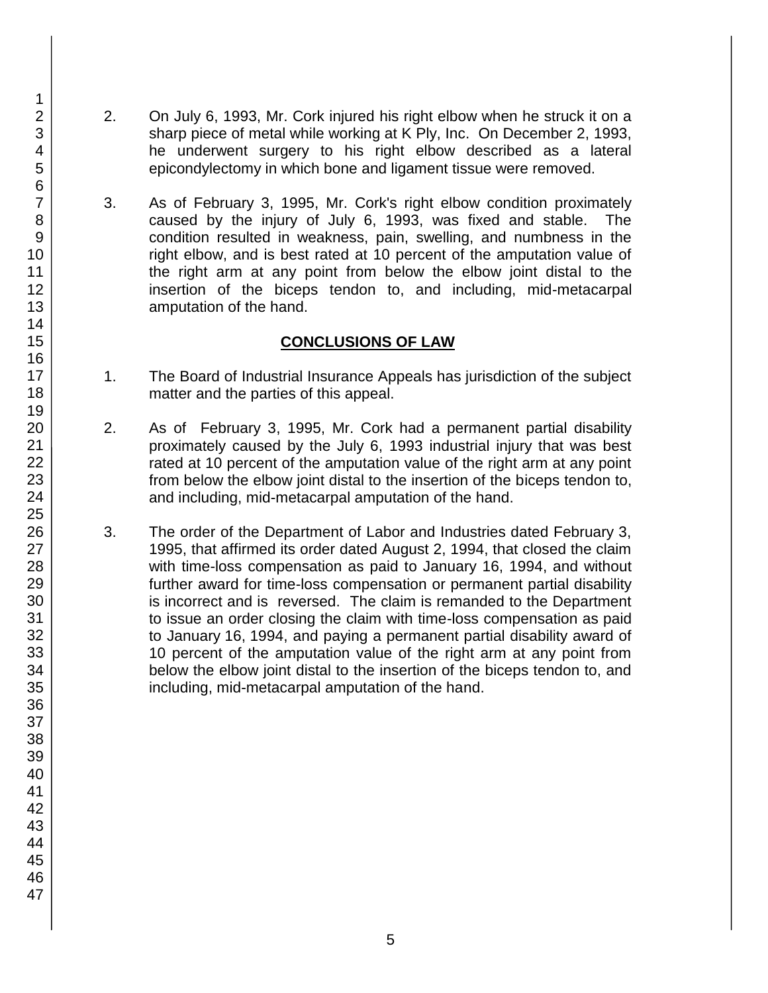- 2. On July 6, 1993, Mr. Cork injured his right elbow when he struck it on a sharp piece of metal while working at K Ply, Inc. On December 2, 1993, he underwent surgery to his right elbow described as a lateral epicondylectomy in which bone and ligament tissue were removed.
- 3. As of February 3, 1995, Mr. Cork's right elbow condition proximately caused by the injury of July 6, 1993, was fixed and stable. The condition resulted in weakness, pain, swelling, and numbness in the right elbow, and is best rated at 10 percent of the amputation value of the right arm at any point from below the elbow joint distal to the insertion of the biceps tendon to, and including, mid-metacarpal amputation of the hand.

## **CONCLUSIONS OF LAW**

- 1. The Board of Industrial Insurance Appeals has jurisdiction of the subject matter and the parties of this appeal.
- 2. As of February 3, 1995, Mr. Cork had a permanent partial disability proximately caused by the July 6, 1993 industrial injury that was best rated at 10 percent of the amputation value of the right arm at any point from below the elbow joint distal to the insertion of the biceps tendon to, and including, mid-metacarpal amputation of the hand.
- 3. The order of the Department of Labor and Industries dated February 3, 1995, that affirmed its order dated August 2, 1994, that closed the claim with time-loss compensation as paid to January 16, 1994, and without further award for time-loss compensation or permanent partial disability is incorrect and is reversed. The claim is remanded to the Department to issue an order closing the claim with time-loss compensation as paid to January 16, 1994, and paying a permanent partial disability award of 10 percent of the amputation value of the right arm at any point from below the elbow joint distal to the insertion of the biceps tendon to, and including, mid-metacarpal amputation of the hand.